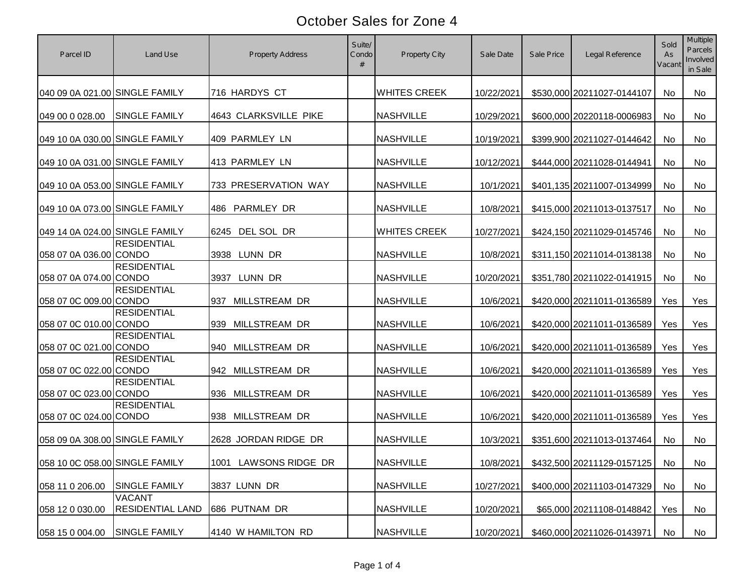| Parcel ID                      | Land Use                                 | <b>Property Address</b>     | Suite/<br>Condo | <b>Property City</b> | Sale Date  | Sale Price | Legal Reference            | Sold<br>As<br>Vacan | <b>Multiple</b><br><b>Parcels</b><br>Involved<br>in Sale |
|--------------------------------|------------------------------------------|-----------------------------|-----------------|----------------------|------------|------------|----------------------------|---------------------|----------------------------------------------------------|
| 040 09 0A 021.00 SINGLE FAMILY |                                          | 716 HARDYS CT               |                 | <b>WHITES CREEK</b>  | 10/22/2021 |            | \$530,000 20211027-0144107 | <b>No</b>           | <b>No</b>                                                |
| 049 00 0 028.00                | <b>SINGLE FAMILY</b>                     | 4643 CLARKSVILLE PIKE       |                 | <b>NASHVILLE</b>     | 10/29/2021 |            | \$600,000 20220118-0006983 | No                  | No                                                       |
| 049 10 0A 030.00 SINGLE FAMILY |                                          | 409 PARMLEY LN              |                 | <b>NASHVILLE</b>     | 10/19/2021 |            | \$399,900 20211027-0144642 | No                  | <b>No</b>                                                |
| 049 10 0A 031.00 SINGLE FAMILY |                                          | 413 PARMLEY LN              |                 | <b>NASHVILLE</b>     | 10/12/2021 |            | \$444,000 20211028-0144941 | <b>No</b>           | <b>No</b>                                                |
| 049 10 0A 053.00 SINGLE FAMILY |                                          | 733 PRESERVATION WAY        |                 | <b>NASHVILLE</b>     | 10/1/2021  |            | \$401,135 20211007-0134999 | No                  | No                                                       |
| 049 10 0A 073.00 SINGLE FAMILY |                                          | 486 PARMLEY DR              |                 | <b>NASHVILLE</b>     | 10/8/2021  |            | \$415,000 20211013-0137517 | No                  | No                                                       |
| 049 14 0A 024.00 SINGLE FAMILY |                                          | 6245 DEL SOL DR             |                 | <b>WHITES CREEK</b>  | 10/27/2021 |            | \$424,150 20211029-0145746 | No                  | No                                                       |
| 058 07 0A 036.00 CONDO         | <b>RESIDENTIAL</b>                       | LUNN DR<br>3938             |                 | <b>NASHVILLE</b>     | 10/8/2021  |            | \$311,150 20211014-0138138 | No                  | No                                                       |
| 058 07 0A 074.00 CONDO         | <b>RESIDENTIAL</b>                       | LUNN DR<br>3937             |                 | <b>NASHVILLE</b>     | 10/20/2021 |            | \$351,780 20211022-0141915 | No                  | No                                                       |
| 058 07 0C 009.00 CONDO         | <b>RESIDENTIAL</b>                       | <b>MILLSTREAM DR</b><br>937 |                 | <b>NASHVILLE</b>     | 10/6/2021  |            | \$420,000 20211011-0136589 | Yes                 | Yes                                                      |
| 058 07 0C 010.00 CONDO         | <b>RESIDENTIAL</b>                       | 939 MILLSTREAM DR           |                 | <b>NASHVILLE</b>     | 10/6/2021  |            | \$420,000 20211011-0136589 | Yes                 | Yes                                                      |
| 058 07 0C 021.00 CONDO         | <b>RESIDENTIAL</b>                       | 940 MILLSTREAM DR           |                 | <b>NASHVILLE</b>     | 10/6/2021  |            | \$420,000 20211011-0136589 | Yes                 | Yes                                                      |
| 058 07 0C 022.00 CONDO         | <b>RESIDENTIAL</b>                       | 942 MILLSTREAM DR           |                 | <b>NASHVILLE</b>     | 10/6/2021  |            | \$420,000 20211011-0136589 | Yes                 | Yes                                                      |
| 058 07 0C 023.00 CONDO         | <b>RESIDENTIAL</b>                       | 936 MILLSTREAM DR           |                 | <b>NASHVILLE</b>     | 10/6/2021  |            | \$420,000 20211011-0136589 | Yes                 | Yes                                                      |
| 058 07 0C 024.00 CONDO         | <b>RESIDENTIAL</b>                       | 938 MILLSTREAM DR           |                 | <b>NASHVILLE</b>     | 10/6/2021  |            | \$420,000 20211011-0136589 | Yes                 | Yes                                                      |
| 058 09 0A 308.00 SINGLE FAMILY |                                          | 2628 JORDAN RIDGE DR        |                 | <b>NASHVILLE</b>     | 10/3/2021  |            | \$351,600 20211013-0137464 | No                  | <b>No</b>                                                |
| 058 10 0C 058.00 SINGLE FAMILY |                                          | 1001 LAWSONS RIDGE DR       |                 | <b>NASHVILLE</b>     | 10/8/2021  |            | \$432,500 20211129-0157125 | No                  | No                                                       |
| 058 11 0 206.00                | <b>SINGLE FAMILY</b>                     | 3837 LUNN DR                |                 | <b>NASHVILLE</b>     | 10/27/2021 |            | \$400,000 20211103-0147329 | No                  | No                                                       |
| 058 12 0 030.00                | <b>VACANT</b><br><b>RESIDENTIAL LAND</b> | 686 PUTNAM DR               |                 | <b>NASHVILLE</b>     | 10/20/2021 |            | \$65,000 20211108-0148842  | Yes                 | No                                                       |
| 058 15 0 004.00                | <b>SINGLE FAMILY</b>                     | 4140 W HAMILTON RD          |                 | <b>NASHVILLE</b>     | 10/20/2021 |            | \$460,000 20211026-0143971 | No                  | No                                                       |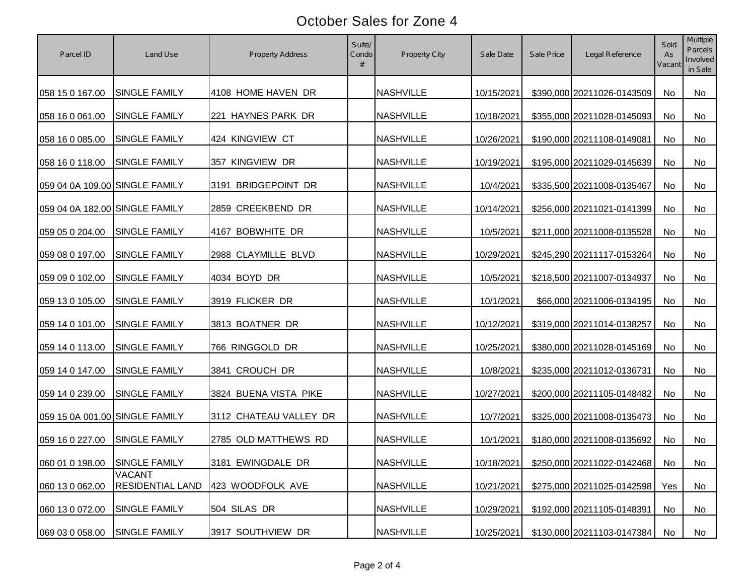| Parcel ID                      | Land Use                                 | <b>Property Address</b> | Suite/<br>Condo | Property City    | Sale Date  | Sale Price | Legal Reference            | Sold<br>As<br>Vacant | Multiple<br><b>Parcels</b><br>Involved<br>in Sale |
|--------------------------------|------------------------------------------|-------------------------|-----------------|------------------|------------|------------|----------------------------|----------------------|---------------------------------------------------|
| 058 15 0 167.00                | <b>SINGLE FAMILY</b>                     | 4108 HOME HAVEN DR      |                 | <b>NASHVILLE</b> | 10/15/2021 |            | \$390,000 20211026-0143509 | No                   | No                                                |
| 058 16 0 061.00                | <b>SINGLE FAMILY</b>                     | 221 HAYNES PARK DR      |                 | <b>NASHVILLE</b> | 10/18/2021 |            | \$355,000 20211028-0145093 | No                   | No                                                |
| 058 16 0 085.00                | <b>SINGLE FAMILY</b>                     | 424 KINGVIEW CT         |                 | <b>NASHVILLE</b> | 10/26/2021 |            | \$190,000 20211108-0149081 | No                   | No                                                |
| 058 16 0 118.00                | <b>SINGLE FAMILY</b>                     | 357 KINGVIEW DR         |                 | <b>NASHVILLE</b> | 10/19/2021 |            | \$195,000 20211029-0145639 | No                   | No                                                |
| 059 04 0A 109.00 SINGLE FAMILY |                                          | 3191 BRIDGEPOINT DR     |                 | <b>NASHVILLE</b> | 10/4/2021  |            | \$335,500 20211008-0135467 | No                   | No                                                |
| 059 04 0A 182.00 SINGLE FAMILY |                                          | 2859 CREEKBEND DR       |                 | <b>NASHVILLE</b> | 10/14/2021 |            | \$256,000 20211021-0141399 | No                   | No                                                |
| 059 05 0 204.00                | <b>SINGLE FAMILY</b>                     | 4167 BOBWHITE DR        |                 | <b>NASHVILLE</b> | 10/5/2021  |            | \$211,000 20211008-0135528 | No                   | No                                                |
| 059 08 0 197.00                | <b>SINGLE FAMILY</b>                     | 2988 CLAYMILLE BLVD     |                 | <b>NASHVILLE</b> | 10/29/2021 |            | \$245,290 20211117-0153264 | No                   | No                                                |
| 059 09 0 102.00                | <b>SINGLE FAMILY</b>                     | 4034 BOYD DR            |                 | <b>NASHVILLE</b> | 10/5/2021  |            | \$218,500 20211007-0134937 | No                   | No                                                |
| 059 13 0 105.00                | <b>SINGLE FAMILY</b>                     | 3919 FLICKER DR         |                 | <b>NASHVILLE</b> | 10/1/2021  |            | \$66,000 20211006-0134195  | No                   | No                                                |
| 059 14 0 101.00                | <b>SINGLE FAMILY</b>                     | 3813 BOATNER DR         |                 | <b>NASHVILLE</b> | 10/12/2021 |            | \$319,000 20211014-0138257 | No                   | <b>No</b>                                         |
| 059 14 0 113.00                | <b>SINGLE FAMILY</b>                     | 766 RINGGOLD DR         |                 | <b>NASHVILLE</b> | 10/25/2021 |            | \$380,000 20211028-0145169 | No                   | No                                                |
| 059 14 0 147.00                | <b>SINGLE FAMILY</b>                     | 3841 CROUCH DR          |                 | <b>NASHVILLE</b> | 10/8/2021  |            | \$235,000 20211012-0136731 | No                   | No                                                |
| 059 14 0 239.00                | <b>SINGLE FAMILY</b>                     | 3824 BUENA VISTA PIKE   |                 | <b>NASHVILLE</b> | 10/27/2021 |            | \$200,000 20211105-0148482 | No                   | <b>No</b>                                         |
| 059 15 0A 001.00 SINGLE FAMILY |                                          | 3112 CHATEAU VALLEY DR  |                 | <b>NASHVILLE</b> | 10/7/2021  |            | \$325,000 20211008-0135473 | No                   | No                                                |
| 059 16 0 227.00                | <b>SINGLE FAMILY</b>                     | 2785 OLD MATTHEWS RD    |                 | <b>NASHVILLE</b> | 10/1/2021  |            | \$180,000 20211008-0135692 | No                   | No                                                |
| 060 01 0 198.00 SINGLE FAMILY  |                                          | 3181 EWINGDALE DR       |                 | <b>NASHVILLE</b> | 10/18/2021 |            | \$250,000 20211022-0142468 | No                   | No                                                |
| 060 13 0 062.00                | <b>VACANT</b><br><b>RESIDENTIAL LAND</b> | 423 WOODFOLK AVE        |                 | <b>NASHVILLE</b> | 10/21/2021 |            | \$275,000 20211025-0142598 | Yes                  | No                                                |
| 060 13 0 072.00                | <b>SINGLE FAMILY</b>                     | 504 SILAS DR            |                 | <b>NASHVILLE</b> | 10/29/2021 |            | \$192,000 20211105-0148391 | No                   | No                                                |
| 069 03 0 058.00                | <b>SINGLE FAMILY</b>                     | 3917 SOUTHVIEW DR       |                 | <b>NASHVILLE</b> | 10/25/2021 |            | \$130,000 20211103-0147384 | No                   | No                                                |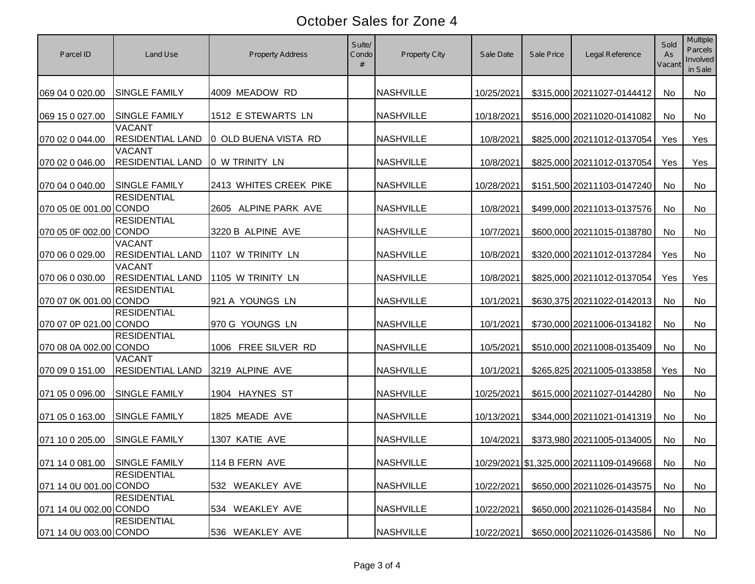| Parcel ID                     | Land Use                                 | <b>Property Address</b> | Suite/<br>Condo | <b>Property City</b> | Sale Date  | Sale Price | Legal Reference                         | Sold<br>As<br>Vacant | <b>Multiple</b><br><b>Parcels</b><br>Involved<br>in Sale |
|-------------------------------|------------------------------------------|-------------------------|-----------------|----------------------|------------|------------|-----------------------------------------|----------------------|----------------------------------------------------------|
| 069 04 0 020.00               | <b>SINGLE FAMILY</b>                     | 4009 MEADOW RD          |                 | <b>NASHVILLE</b>     | 10/25/2021 |            | \$315,000 20211027-0144412              | <b>No</b>            | <b>No</b>                                                |
| 069 15 0 027.00               | <b>SINGLE FAMILY</b>                     | 1512 E STEWARTS LN      |                 | <b>NASHVILLE</b>     | 10/18/2021 |            | \$516,000 20211020-0141082              | No                   | No                                                       |
| 070 02 0 044.00               | <b>VACANT</b><br><b>RESIDENTIAL LAND</b> | 0 OLD BUENA VISTA RD    |                 | <b>NASHVILLE</b>     | 10/8/2021  |            | \$825,000 20211012-0137054              | Yes                  | Yes                                                      |
| 070 02 0 046.00               | <b>VACANT</b><br><b>RESIDENTIAL LAND</b> | 0 W TRINITY LN          |                 | <b>NASHVILLE</b>     | 10/8/2021  |            | \$825,000 20211012-0137054              | Yes                  | Yes                                                      |
| 070 04 0 040.00               | <b>SINGLE FAMILY</b>                     | 2413 WHITES CREEK PIKE  |                 | <b>NASHVILLE</b>     | 10/28/2021 |            | \$151,500 20211103-0147240              | No                   | No                                                       |
| 070 05 0E 001.00 CONDO        | <b>RESIDENTIAL</b>                       | 2605 ALPINE PARK AVE    |                 | <b>NASHVILLE</b>     | 10/8/2021  |            | \$499,000 20211013-0137576              | No                   | No                                                       |
| 070 05 0F 002.00 CONDO        | <b>RESIDENTIAL</b>                       | 3220 B ALPINE AVE       |                 | <b>NASHVILLE</b>     | 10/7/2021  |            | \$600,000 20211015-0138780              | No                   | No                                                       |
| 070 06 0 029.00               | <b>VACANT</b><br><b>RESIDENTIAL LAND</b> | 1107 W TRINITY LN       |                 | <b>NASHVILLE</b>     | 10/8/2021  |            | \$320,000 20211012-0137284              | Yes                  | No                                                       |
| 070 06 0 030.00               | <b>VACANT</b><br><b>RESIDENTIAL LAND</b> | 1105 W TRINITY LN       |                 | <b>NASHVILLE</b>     | 10/8/2021  |            | \$825,000 20211012-0137054              | Yes                  | Yes                                                      |
| 070 07 0K 001.00 CONDO        | <b>RESIDENTIAL</b>                       | 921 A YOUNGS LN         |                 | <b>NASHVILLE</b>     | 10/1/2021  |            | \$630,375 20211022-0142013              | No                   | <b>No</b>                                                |
| 070 07 0P 021.00 CONDO        | <b>RESIDENTIAL</b>                       | 970 G YOUNGS LN         |                 | <b>NASHVILLE</b>     | 10/1/2021  |            | \$730,000 20211006-0134182              | No                   | <b>No</b>                                                |
| 070 08 0A 002.00 CONDO        | <b>RESIDENTIAL</b>                       | 1006 FREE SILVER RD     |                 | <b>NASHVILLE</b>     | 10/5/2021  |            | \$510,000 20211008-0135409              | No                   | <b>No</b>                                                |
| 070 09 0 151.00               | <b>VACANT</b><br><b>RESIDENTIAL LAND</b> | 3219 ALPINE AVE         |                 | <b>NASHVILLE</b>     | 10/1/2021  |            | \$265,825 20211005-0133858              | Yes                  | <b>No</b>                                                |
| 071 05 0 096.00               | <b>SINGLE FAMILY</b>                     | 1904 HAYNES ST          |                 | <b>NASHVILLE</b>     | 10/25/2021 |            | \$615,000 20211027-0144280              | No                   | <b>No</b>                                                |
| 071 05 0 163.00               | <b>SINGLE FAMILY</b>                     | 1825 MEADE AVE          |                 | <b>NASHVILLE</b>     | 10/13/2021 |            | \$344,000 20211021-0141319              | No                   | <b>No</b>                                                |
| 071 10 0 205.00               | <b>SINGLE FAMILY</b>                     | 1307 KATIE AVE          |                 | <b>NASHVILLE</b>     | 10/4/2021  |            | \$373,980 20211005-0134005              | No                   | <b>No</b>                                                |
| 071 14 0 081.00 SINGLE FAMILY |                                          | 114 B FERN AVE          |                 | <b>NASHVILLE</b>     |            |            | 10/29/2021 \$1,325,000 20211109-0149668 | No                   | No                                                       |
| 071 14 0U 001.00 CONDO        | <b>RESIDENTIAL</b>                       | 532 WEAKLEY AVE         |                 | <b>NASHVILLE</b>     | 10/22/2021 |            | \$650,000 20211026-0143575              | No                   | No                                                       |
| 071 14 0U 002.00 CONDO        | <b>RESIDENTIAL</b>                       | 534 WEAKLEY AVE         |                 | <b>NASHVILLE</b>     | 10/22/2021 |            | \$650,000 20211026-0143584              | No                   | No                                                       |
| 071 14 0U 003.00 CONDO        | <b>RESIDENTIAL</b>                       | 536 WEAKLEY AVE         |                 | <b>NASHVILLE</b>     | 10/22/2021 |            | \$650,000 20211026-0143586              | No                   | No                                                       |